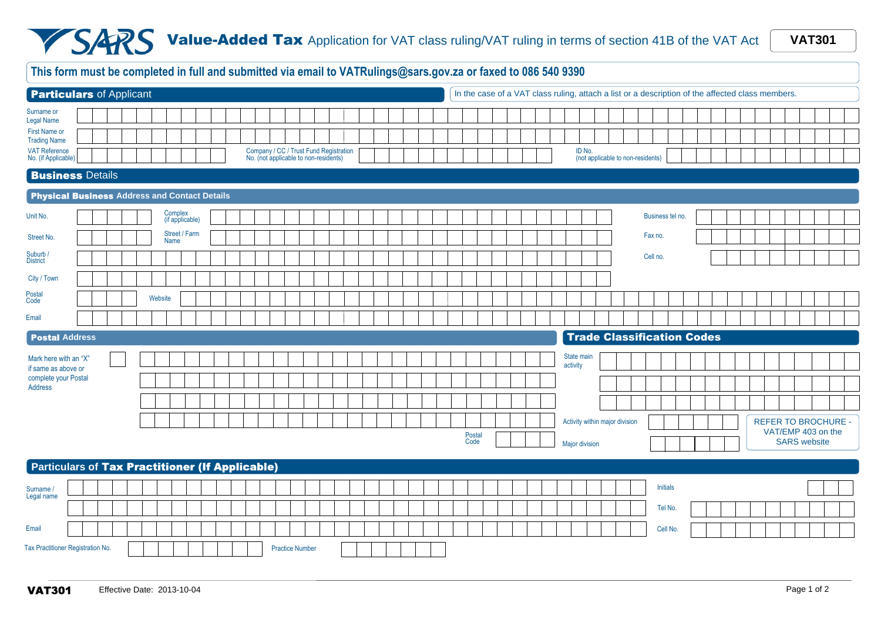## **Value-Added Tax** Application for VAT class ruling/VAT ruling in terms of section 41B of the VAT Act **WAT301**

|                                                 | This form must be completed in full and submitted via email to VATRulings@sars.gov.za or faxed to 086 540 9390<br>In the case of a VAT class ruling, attach a list or a description of the affected class members. |  |  |  |  |         |                            |  |  |  |  |  |                        |  |  |                                                                                 |  |  |  |                                   |  |  |                        |                                |                                   |                  |  |  |  |                                           |  |  |
|-------------------------------------------------|--------------------------------------------------------------------------------------------------------------------------------------------------------------------------------------------------------------------|--|--|--|--|---------|----------------------------|--|--|--|--|--|------------------------|--|--|---------------------------------------------------------------------------------|--|--|--|-----------------------------------|--|--|------------------------|--------------------------------|-----------------------------------|------------------|--|--|--|-------------------------------------------|--|--|
|                                                 | <b>Particulars of Applicant</b>                                                                                                                                                                                    |  |  |  |  |         |                            |  |  |  |  |  |                        |  |  |                                                                                 |  |  |  |                                   |  |  |                        |                                |                                   |                  |  |  |  |                                           |  |  |
| Surname or<br><b>Legal Name</b>                 |                                                                                                                                                                                                                    |  |  |  |  |         |                            |  |  |  |  |  |                        |  |  |                                                                                 |  |  |  |                                   |  |  |                        |                                |                                   |                  |  |  |  |                                           |  |  |
| <b>First Name or</b><br><b>Trading Name</b>     |                                                                                                                                                                                                                    |  |  |  |  |         |                            |  |  |  |  |  |                        |  |  |                                                                                 |  |  |  |                                   |  |  |                        |                                |                                   |                  |  |  |  |                                           |  |  |
| VAT Reference<br>No. (if Applicable)            |                                                                                                                                                                                                                    |  |  |  |  |         |                            |  |  |  |  |  |                        |  |  | Company / CC / Trust Fund Registration<br>No. (not applicable to non-residents) |  |  |  |                                   |  |  | ID No.                 |                                | (not applicable to non-residents) |                  |  |  |  |                                           |  |  |
| <b>Business Details</b>                         |                                                                                                                                                                                                                    |  |  |  |  |         |                            |  |  |  |  |  |                        |  |  |                                                                                 |  |  |  |                                   |  |  |                        |                                |                                   |                  |  |  |  |                                           |  |  |
| Physical Business Address and Contact Details   |                                                                                                                                                                                                                    |  |  |  |  |         |                            |  |  |  |  |  |                        |  |  |                                                                                 |  |  |  |                                   |  |  |                        |                                |                                   |                  |  |  |  |                                           |  |  |
| Unit No.                                        |                                                                                                                                                                                                                    |  |  |  |  |         | Complex<br>(if applicable) |  |  |  |  |  |                        |  |  |                                                                                 |  |  |  |                                   |  |  |                        |                                |                                   | Business tel no. |  |  |  |                                           |  |  |
| Street No.                                      |                                                                                                                                                                                                                    |  |  |  |  |         | Street / Farm<br>Name      |  |  |  |  |  |                        |  |  |                                                                                 |  |  |  |                                   |  |  |                        |                                | Fax no.                           |                  |  |  |  |                                           |  |  |
| Suburb /<br><b>District</b>                     |                                                                                                                                                                                                                    |  |  |  |  |         |                            |  |  |  |  |  |                        |  |  |                                                                                 |  |  |  |                                   |  |  |                        |                                | Cell no.                          |                  |  |  |  |                                           |  |  |
| City / Town                                     |                                                                                                                                                                                                                    |  |  |  |  |         |                            |  |  |  |  |  |                        |  |  |                                                                                 |  |  |  |                                   |  |  |                        |                                |                                   |                  |  |  |  |                                           |  |  |
| Postal<br>Code                                  |                                                                                                                                                                                                                    |  |  |  |  | Website |                            |  |  |  |  |  |                        |  |  |                                                                                 |  |  |  |                                   |  |  |                        |                                |                                   |                  |  |  |  |                                           |  |  |
| Email                                           |                                                                                                                                                                                                                    |  |  |  |  |         |                            |  |  |  |  |  |                        |  |  |                                                                                 |  |  |  |                                   |  |  |                        |                                |                                   |                  |  |  |  |                                           |  |  |
|                                                 | <b>Postal Address</b>                                                                                                                                                                                              |  |  |  |  |         |                            |  |  |  |  |  |                        |  |  |                                                                                 |  |  |  | <b>Trade Classification Codes</b> |  |  |                        |                                |                                   |                  |  |  |  |                                           |  |  |
| Mark here with an "X"<br>if same as above or    |                                                                                                                                                                                                                    |  |  |  |  |         |                            |  |  |  |  |  |                        |  |  |                                                                                 |  |  |  |                                   |  |  | State main<br>activity |                                |                                   |                  |  |  |  |                                           |  |  |
| complete your Postal<br>Address                 |                                                                                                                                                                                                                    |  |  |  |  |         |                            |  |  |  |  |  |                        |  |  |                                                                                 |  |  |  |                                   |  |  |                        |                                |                                   |                  |  |  |  |                                           |  |  |
|                                                 |                                                                                                                                                                                                                    |  |  |  |  |         |                            |  |  |  |  |  |                        |  |  |                                                                                 |  |  |  |                                   |  |  |                        |                                |                                   |                  |  |  |  |                                           |  |  |
|                                                 |                                                                                                                                                                                                                    |  |  |  |  |         |                            |  |  |  |  |  |                        |  |  |                                                                                 |  |  |  |                                   |  |  |                        | Activity within major division |                                   |                  |  |  |  | <b>REFER TO BROCHURE -</b>                |  |  |
|                                                 |                                                                                                                                                                                                                    |  |  |  |  |         |                            |  |  |  |  |  |                        |  |  |                                                                                 |  |  |  | Postal<br>Code                    |  |  | Major division         |                                |                                   |                  |  |  |  | VAT/EMP 403 on the<br><b>SARS</b> website |  |  |
| Particulars of Tax Practitioner (If Applicable) |                                                                                                                                                                                                                    |  |  |  |  |         |                            |  |  |  |  |  |                        |  |  |                                                                                 |  |  |  |                                   |  |  |                        |                                |                                   |                  |  |  |  |                                           |  |  |
| Surname /                                       |                                                                                                                                                                                                                    |  |  |  |  |         |                            |  |  |  |  |  |                        |  |  |                                                                                 |  |  |  |                                   |  |  |                        |                                |                                   | <b>Initials</b>  |  |  |  |                                           |  |  |
| Legal name                                      |                                                                                                                                                                                                                    |  |  |  |  |         |                            |  |  |  |  |  |                        |  |  |                                                                                 |  |  |  |                                   |  |  |                        |                                |                                   | Tel No.          |  |  |  |                                           |  |  |
| Email                                           |                                                                                                                                                                                                                    |  |  |  |  |         |                            |  |  |  |  |  |                        |  |  |                                                                                 |  |  |  |                                   |  |  |                        |                                |                                   | Cell No.         |  |  |  |                                           |  |  |
| Tax Practitioner Registration No.               |                                                                                                                                                                                                                    |  |  |  |  |         |                            |  |  |  |  |  | <b>Practice Number</b> |  |  |                                                                                 |  |  |  |                                   |  |  |                        |                                |                                   |                  |  |  |  |                                           |  |  |